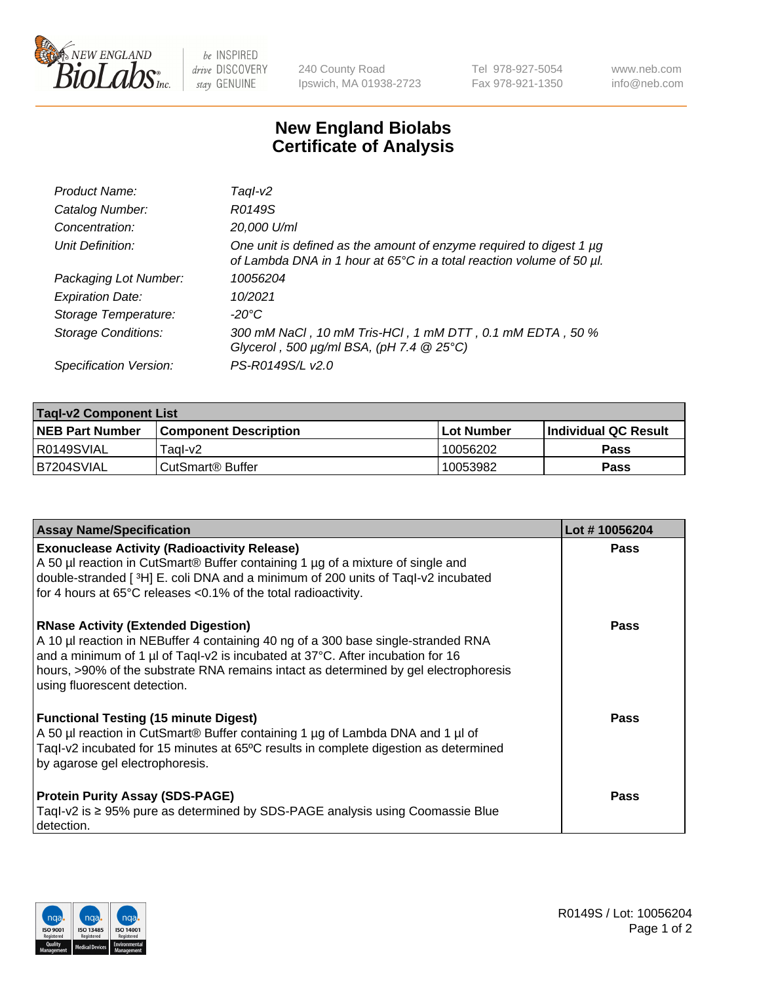

be INSPIRED drive DISCOVERY stay GENUINE

240 County Road Ipswich, MA 01938-2723 Tel 978-927-5054 Fax 978-921-1350 www.neb.com info@neb.com

## **New England Biolabs Certificate of Analysis**

| Product Name:              | Taql-v2                                                                                                                                     |
|----------------------------|---------------------------------------------------------------------------------------------------------------------------------------------|
| Catalog Number:            | R0149S                                                                                                                                      |
| Concentration:             | 20,000 U/ml                                                                                                                                 |
| Unit Definition:           | One unit is defined as the amount of enzyme required to digest 1 µg<br>of Lambda DNA in 1 hour at 65°C in a total reaction volume of 50 µl. |
| Packaging Lot Number:      | 10056204                                                                                                                                    |
| <b>Expiration Date:</b>    | 10/2021                                                                                                                                     |
| Storage Temperature:       | $-20^{\circ}$ C                                                                                                                             |
| <b>Storage Conditions:</b> | 300 mM NaCl, 10 mM Tris-HCl, 1 mM DTT, 0.1 mM EDTA, 50 %<br>Glycerol, 500 $\mu$ g/ml BSA, (pH 7.4 $@25°C$ )                                 |
| Specification Version:     | PS-R0149S/L v2.0                                                                                                                            |

| <b>Tagl-v2 Component List</b> |                              |              |                             |  |  |
|-------------------------------|------------------------------|--------------|-----------------------------|--|--|
| <b>NEB Part Number</b>        | <b>Component Description</b> | l Lot Number | <b>Individual QC Result</b> |  |  |
| I R0149SVIAL                  | Taɑl-v2                      | 10056202     | <b>Pass</b>                 |  |  |
| B7204SVIAL                    | l CutSmart® Buffer           | 10053982     | Pass                        |  |  |

| <b>Assay Name/Specification</b>                                                                                                                                                                                                                                                                                                           | Lot #10056204 |
|-------------------------------------------------------------------------------------------------------------------------------------------------------------------------------------------------------------------------------------------------------------------------------------------------------------------------------------------|---------------|
| <b>Exonuclease Activity (Radioactivity Release)</b><br>A 50 µl reaction in CutSmart® Buffer containing 1 µg of a mixture of single and<br>double-stranded [3H] E. coli DNA and a minimum of 200 units of Taql-v2 incubated<br>for 4 hours at 65°C releases <0.1% of the total radioactivity.                                              | Pass          |
| <b>RNase Activity (Extended Digestion)</b><br>A 10 µl reaction in NEBuffer 4 containing 40 ng of a 300 base single-stranded RNA<br>and a minimum of 1 µl of Taql-v2 is incubated at 37°C. After incubation for 16<br>hours, >90% of the substrate RNA remains intact as determined by gel electrophoresis<br>using fluorescent detection. | Pass          |
| <b>Functional Testing (15 minute Digest)</b><br>A 50 µl reaction in CutSmart® Buffer containing 1 µg of Lambda DNA and 1 µl of<br>Tagl-v2 incubated for 15 minutes at 65°C results in complete digestion as determined<br>by agarose gel electrophoresis.                                                                                 | Pass          |
| <b>Protein Purity Assay (SDS-PAGE)</b><br>Tagl-v2 is $\geq$ 95% pure as determined by SDS-PAGE analysis using Coomassie Blue<br>detection.                                                                                                                                                                                                | Pass          |